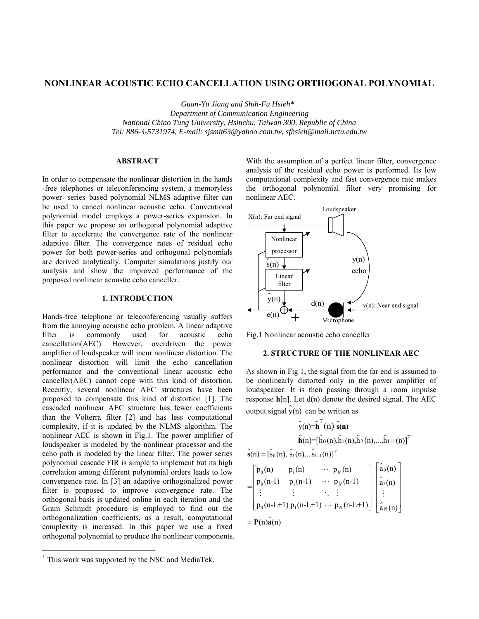# **NONLINEAR ACOUSTIC ECHO CANCELLATION USING ORTHOGONAL POLYNOMIAL**

*Guan-Yu Jiang and Shih-Fu Hsieh\**[1](#page-0-0)

*Department of Communication Engineering National Chiao Tung University, Hsinchu, Taiwan 300, Republic of China Tel: 886-3-5731974, E-mail: sjsmit63@yahoo.com.tw, sfhsieh@mail.nctu.edu.tw* 

## **ABSTRACT**

In order to compensate the nonlinear distortion in the hands -free telephones or teleconferencing system, a memoryless power- series–based polynomial NLMS adaptive filter can be used to cancel nonlinear acoustic echo. Conventional polynomial model employs a power-series expansion. In this paper we propose an orthogonal polynomial adaptive filter to accelerate the convergence rate of the nonlinear adaptive filter. The convergence rates of residual echo power for both power-series and orthogonal polynomials are derived analytically. Computer simulations justify our analysis and show the improved performance of the proposed nonlinear acoustic echo canceller.

## **1. INTRODUCTION**

Hands-free telephone or teleconferencing usually suffers from the annoying acoustic echo problem. A linear adaptive filter is commonly used for acoustic echo cancellation(AEC). However, overdriven the power amplifier of loudspeaker will incur nonlinear distortion. The nonlinear distortion will limit the echo cancellation performance and the conventional linear acoustic echo canceller(AEC) cannot cope with this kind of distortion. Recently, several nonlinear AEC structures have been proposed to compensate this kind of distortion [1]. The cascaded nonlinear AEC structure has fewer coefficients than the Volterra filter [2] and has less computational complexity, if it is updated by the NLMS algorithm. The nonlinear AEC is shown in Fig.1. The power amplifier of loudspeaker is modeled by the nonlinear processor and the echo path is modeled by the linear filter. The power series polynomial cascade FIR is simple to implement but its high correlation among different polynomial orders leads to low convergence rate. In [3] an adaptive orthogonalized power filter is proposed to improve convergence rate. The orthogonal basis is updated online in each iteration and the Gram Schmidt procedure is employed to find out the orthogonalization coefficients, as a result, computational complexity is increased. In this paper we use a fixed orthogonal polynomial to produce the nonlinear components.

 $\overline{a}$ 

With the assumption of a perfect linear filter, convergence analysis of the residual echo power is performed. Its low computational complexity and fast convergence rate makes the orthogonal polynomial filter very promising for nonlinear AEC.



Fig.1 Nonlinear acoustic echo canceller

## **2. STRUCTURE OF THE NONLINEAR AEC**

As shown in Fig 1, the signal from the far end is assumed to be nonlinearly distorted only in the power amplifier of loudspeaker. It is then passing through a room impulse response **h**[n]. Let d(n) denote the desired signal. The AEC output signal  $\hat{y}$ (n) can be written as

$$
\hat{\mathbf{y}}(n) = \hat{\mathbf{h}}^{T}(n) \hat{\mathbf{s}}(n)
$$
\n
$$
\hat{\mathbf{h}}(n) = [\hat{h}_{0}(n), \hat{h}_{1}(n), \hat{h}_{2}(n), ..., \hat{h}_{L-1}(n)]^{T}
$$
\n
$$
\hat{\mathbf{s}}(n) = [\hat{s}_{0}(n), \hat{s}_{1}(n), ... \hat{s}_{L-1}(n)]^{T}
$$
\n
$$
= \begin{bmatrix}\np_{0}(n) & p_{1}(n) & \cdots & p_{N}(n) \\
p_{0}(n-1) & p_{1}(n-1) & \cdots & p_{N}(n-1) \\
\vdots & \vdots & \ddots & \vdots \\
p_{0}(n-L+1) & p_{1}(n-L+1) & \cdots & p_{N}(n-L+1)\n\end{bmatrix} \begin{bmatrix}\n\hat{a}_{0}(n) \\
\hat{a}_{1}(n) \\
\vdots \\
\hat{a}_{N}(n)\n\end{bmatrix}
$$
\n
$$
= P(n)\hat{\mathbf{a}}(n)
$$

<span id="page-0-0"></span> $<sup>1</sup>$  This work was supported by the NSC and MediaTek.</sup>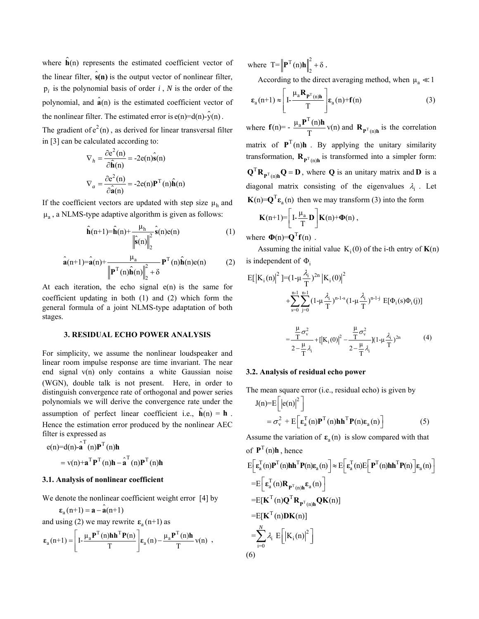where  $\hat{\mathbf{h}}(n)$  represents the estimated coefficient vector of the linear filter,  $\hat{\mathbf{s}}(\mathbf{n})$  is the output vector of nonlinear filter,  $p_i$  is the polynomial basis of order  $i$ ,  $N$  is the order of the polynomial, and  $\hat{a}(n)$  is the estimated coefficient vector of the nonlinear filter. The estimated error is  $e(n)=d(n)-\hat{y}(n)$ .

The gradient of  $e^2(n)$ , as derived for linear transversal filter in [3] can be calculated according to:

$$
\nabla_h = \frac{\partial e^2(n)}{\partial \hat{\mathbf{h}}(n)} = -2e(n)\hat{\mathbf{s}}(n)
$$

$$
\nabla_a = \frac{\partial e^2(n)}{\partial \hat{\mathbf{a}}(n)} = -2e(n)\mathbf{P}^T(n)\hat{\mathbf{h}}(n)
$$

If the coefficient vectors are updated with step size  $\mu_h$  and  $\mu_a$ , a NLMS-type adaptive algorithm is given as follows:

$$
\hat{\mathbf{h}}(n+1)=\hat{\mathbf{h}}(n)+\frac{\mu_{h}}{\left\|\hat{\mathbf{s}}(n)\right\|_{2}^{2}}\hat{\mathbf{s}}(n)e(n)
$$
(1)  

$$
\hat{\mathbf{a}}(n+1)=\hat{\mathbf{a}}(n)+\frac{\mu_{a}}{\left\|\mathbf{P}^{T}(n)\hat{\mathbf{h}}(n)\right\|_{2}^{2}+\delta}\mathbf{P}^{T}(n)\hat{\mathbf{h}}(n)e(n)
$$
(2)

At each iteration, the echo signal  $e(n)$  is the same for coefficient updating in both (1) and (2) which form the general formula of a joint NLMS-type adaptation of both stages.

# **3. RESIDUAL ECHO POWER ANALYSIS**

For simplicity, we assume the nonlinear loudspeaker and linear room impulse response are time invariant. The near end signal  $v(n)$  only contains a white Gaussian noise (WGN), double talk is not present. Here, in order to distinguish convergence rate of orthogonal and power series polynomials we will derive the convergence rate under the assumption of perfect linear coefficient i.e.,  $\hat{\mathbf{h}}(n) = \mathbf{h}$ . Hence the estimation error produced by the nonlinear AEC filter is expressed as

$$
e(n)=d(n)\cdot\mathbf{\hat{a}}^{T}(n)\mathbf{P}^{T}(n)\mathbf{h}
$$

$$
=v(n)+\mathbf{a}^{T}\mathbf{P}^{T}(n)\mathbf{h}-\mathbf{\hat{a}}^{T}(n)\mathbf{P}^{T}(n)\mathbf{h}
$$

### **3.1. Analysis of nonlinear coefficient**

We denote the nonlinear coefficient weight error [4] by

$$
\varepsilon_{\mathbf{a}}(n+1) = \mathbf{a} - \hat{\mathbf{a}}(n+1)
$$

and using (2) we may rewrite  $\varepsilon_a$  (n+1) as

$$
\varepsilon_a(n+1) = \left[ I - \frac{\mu_a P^T(n) h h^T P(n)}{T} \right] \varepsilon_a(n) - \frac{\mu_a P^T(n) h}{T} v(n) ,
$$

where  $T = \left\| \mathbf{P}^T(n) \mathbf{h} \right\|_2^2 + \delta$ .

According to the direct averaging method, when  $\mu_a \ll 1$ 

$$
\varepsilon_{a}(n+1) \approx \left[ I - \frac{\mu_{a} \mathbf{R}_{\mathbf{p}^{T}(n)h}}{T} \right] \varepsilon_{a}(n) + \mathbf{f}(n) \tag{3}
$$

where  $f(n) = -\frac{\mu_a P^T(n)h}{T} v(n)$  and  $R_{P^T(n)h}$  is the correlation matrix of  $P^{T}(n)h$ . By applying the unitary similarity transformation,  $\mathbf{R}_{\mathbf{P}^T(n)\mathbf{h}}$  is transformed into a simpler form:  $Q^{T}R_{P^{T}(n)h}Q = D$ , where **Q** is an unitary matrix and **D** is a diagonal matrix consisting of the eigenvalues  $\lambda_i$ . Let  $\mathbf{K}(n) = \mathbf{Q}^{\mathrm{T}} \mathbf{\varepsilon}_a(n)$  then we may transform (3) into the form

$$
\mathbf{K}(n{+}1){=}\bigg[\mathrm{I}\text{-}\frac{\mu_a}{T}\mathbf{D}\bigg]\mathbf{K}(n){+}\boldsymbol{\Phi}(n)\,,
$$

where  $\Phi(n) = Q^{T}f(n)$ .

Assuming the initial value  $K_i(0)$  of the i-th entry of  $K(n)$ is independent of  $\Phi_i$ 

$$
E[|K_{i}(n)|^{2}] = (1 - \mu \frac{\lambda_{i}}{T})^{2n} |K_{i}(0)|^{2} + \sum_{s=0}^{n-1} \sum_{j=0}^{n-1} (1 - \mu \frac{\lambda_{i}}{T})^{n-1-s} (1 - \mu \frac{\lambda_{i}}{T})^{n-1-j} E[\Phi_{i}(s)\Phi_{i}(j)]
$$

$$
= \frac{\frac{\mu}{T}\sigma_{v}^{2}}{2 - \frac{\mu}{T}\lambda_{i}} + [|K_{i}(0)|^{2} - \frac{\frac{\mu}{T}\sigma_{v}^{2}}{2 - \frac{\mu}{T}\lambda_{i}}] (1 - \mu \frac{\lambda_{i}}{T})^{2n} \qquad (4)
$$

#### **3.2. Analysis of residual echo power**

The mean square error (i.e., residual echo) is given by  $J(n)=E \left|e(n)\right|^2$  $= \sigma_v^2 + E \left[ \varepsilon_a^T(n) \mathbf{P}^T(n) \mathbf{h} \mathbf{h}^T \mathbf{P}(n) \varepsilon_a(n) \right]$  (5)

Assume the variation of  $\varepsilon_a(n)$  is slow compared with that of  $P^{T}(n)h$ , hence

$$
E\left[\varepsilon_a^T(n)\mathbf{P}^T(n)h h^T P(n)\varepsilon_a(n)\right] \approx E\left[\varepsilon_a^T(n)E\left[\mathbf{P}^T(n)h h^T P(n)\right]\varepsilon_a(n)\right]
$$
  
\n
$$
= E\left[\varepsilon_a^T(n) \mathbf{R}_{\mathbf{P}^T(n)h} \varepsilon_a(n)\right]
$$
  
\n
$$
= E[\mathbf{K}^T(n) \mathbf{Q}^T \mathbf{R}_{\mathbf{P}^T(n)h} \mathbf{Q} \mathbf{K}(n)]
$$
  
\n
$$
= E[\mathbf{K}^T(n) \mathbf{D} \mathbf{K}(n)]
$$
  
\n
$$
= \sum_{i=0}^N \lambda_i E\left[|\mathbf{K}_i(n)|^2\right]
$$
  
\n(6)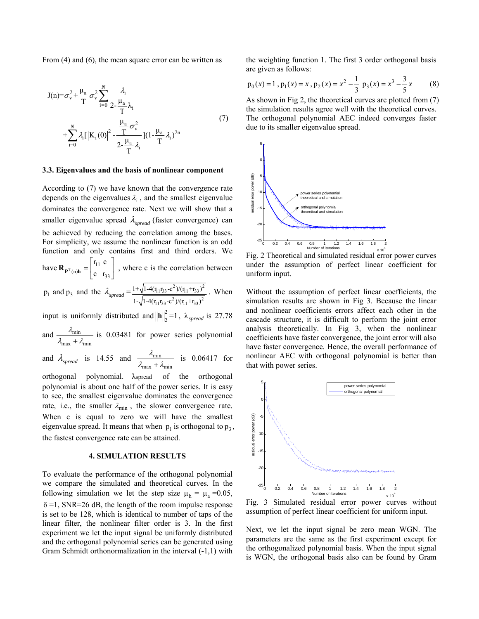From (4) and (6), the mean square error can be written as

$$
J(n) = \sigma_v^2 + \frac{\mu_a}{T} \sigma_v^2 \sum_{i=0}^N \frac{\lambda_i}{2 - \frac{\mu_a}{T} \lambda_i}
$$
  
+ 
$$
\sum_{i=0}^N \lambda_i [|K_i(0)|^2 - \frac{\frac{\mu_a}{T} \sigma_v^2}{2 - \frac{\mu_a}{T} \lambda_i}] (1 - \frac{\mu_a}{T} \lambda_i)^{2n}
$$
 (7)

## **3.3. Eigenvalues and the basis of nonlinear component**

According to (7) we have known that the convergence rate depends on the eigenvalues  $\lambda_i$ , and the smallest eigenvalue dominates the convergence rate. Next we will show that a smaller eigenvalue spread λ*spread* (faster convergence) can be achieved by reducing the correlation among the bases. For simplicity, we assume the nonlinear function is an odd function and only contains first and third orders. We have  $\mathbf{R}_{\mathbf{p}^T(\mathbf{p})\mathbf{h}} = \begin{bmatrix} 1 & 1 \\ 1 & 1 \end{bmatrix}$ , where c is the correlation between  $(n)$ h  $\begin{bmatrix} c & r_{33} \end{bmatrix}$  $r_{11}$  c  $\mathbf{R}_{\mathbf{P}^{\mathrm{T}}(\mathbf{n})\mathbf{h}} = \begin{bmatrix} \mathbf{r}_{11} & \mathbf{c} \\ \mathbf{c} & \mathbf{r}_{33} \end{bmatrix}$ 

$$
p_1
$$
 and  $p_3$  and the  $\lambda_{spread} = \frac{1 + \sqrt{1 - 4(r_{11}r_{33} - c^2)/(r_{11} + r_{33})^2}}{1 - \sqrt{1 - 4(r_{11}r_{33} - c^2)/(r_{11} + r_{33})^2}}$ . When

input is uniformly distributed and  $\|\mathbf{h}\|_{2}^{2} = 1$ ,  $\lambda_{spread}$  is 27.78 and  $\frac{\lambda_{\min}}{\lambda_{\min}}$ λ

and 
$$
\frac{\lambda_{\text{min}}}{\lambda_{\text{max}} + \lambda_{\text{min}}}
$$
 is 0.03481 for power series polynomial

and 
$$
\lambda_{spread}
$$
 is 14.55 and  $\frac{\lambda_{min}}{\lambda_{max} + \lambda_{min}}$  is 0.06417 for

orthogonal polynomial.  $λ$ spread of the orthogonal polynomial is about one half of the power series. It is easy to see, the smallest eigenvalue dominates the convergence rate, i.e., the smaller  $\lambda_{\min}$ , the slower convergence rate. When c is equal to zero we will have the smallest eigenvalue spread. It means that when  $p_1$  is orthogonal to  $p_3$ , the fastest convergence rate can be attained.

## **4. SIMULATION RESULTS**

To evaluate the performance of the orthogonal polynomial we compare the simulated and theoretical curves. In the following simulation we let the step size  $\mu_h = \mu_a = 0.05$ ,  $\delta$  =1, SNR=26 dB, the length of the room impulse response is set to be 128, which is identical to number of taps of the linear filter, the nonlinear filter order is 3. In the first experiment we let the input signal be uniformly distributed and the orthogonal polynomial series can be generated using Gram Schmidt orthonormalization in the interval (-1,1) with

the weighting function 1. The first 3 order orthogonal basis are given as follows:

$$
p_0(x) = 1
$$
,  $p_1(x) = x$ ,  $p_2(x) = x^2 - \frac{1}{3} p_3(x) = x^3 - \frac{3}{5}x$  (8)

As shown in Fig 2, the theoretical curves are plotted from (7) the simulation results agree well with the theoretical curves. The orthogonal polynomial AEC indeed converges faster due to its smaller eigenvalue spread.



Fig. 2 Theoretical and simulated residual error power curves under the assumption of perfect linear coefficient for uniform input.

Without the assumption of perfect linear coefficients, the simulation results are shown in Fig 3. Because the linear and nonlinear coefficients errors affect each other in the cascade structure, it is difficult to perform the joint error analysis theoretically. In Fig 3, when the nonlinear coefficients have faster convergence, the joint error will also have faster convergence. Hence, the overall performance of nonlinear AEC with orthogonal polynomial is better than that with power series.



Fig. 3 Simulated residual error power curves without assumption of perfect linear coefficient for uniform input.

Next, we let the input signal be zero mean WGN. The parameters are the same as the first experiment except for the orthogonalized polynomial basis. When the input signal is WGN, the orthogonal basis also can be found by Gram